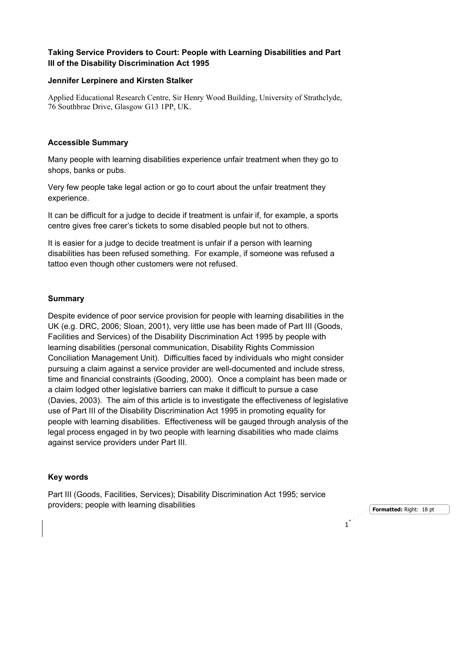# **Taking Service Providers to Court: People with Learning Disabilities and Part III of the Disability Discrimination Act 1995**

## **Jennifer Lerpinere and Kirsten Stalker**

Applied Educational Research Centre, Sir Henry Wood Building, University of Strathclyde, 76 Southbrae Drive, Glasgow G13 1PP, UK.

## **Accessible Summary**

Many people with learning disabilities experience unfair treatment when they go to shops, banks or pubs.

Very few people take legal action or go to court about the unfair treatment they experience.

It can be difficult for a judge to decide if treatment is unfair if, for example, a sports centre gives free carer's tickets to some disabled people but not to others.

It is easier for a judge to decide treatment is unfair if a person with learning disabilities has been refused something. For example, if someone was refused a tattoo even though other customers were not refused.

## **Summary**

Despite evidence of poor service provision for people with learning disabilities in the UK (e.g. DRC, 2006; Sloan, 2001), very little use has been made of Part III (Goods, Facilities and Services) of the Disability Discrimination Act 1995 by people with learning disabilities (personal communication, Disability Rights Commission Conciliation Management Unit). Difficulties faced by individuals who might consider pursuing a claim against a service provider are well-documented and include stress, time and financial constraints (Gooding, 2000). Once a complaint has been made or a claim lodged other legislative barriers can make it difficult to pursue a case (Davies, 2003). The aim of this article is to investigate the effectiveness of legislative use of Part III of the Disability Discrimination Act 1995 in promoting equality for people with learning disabilities. Effectiveness will be gauged through analysis of the legal process engaged in by two people with learning disabilities who made claims against service providers under Part III.

#### **Key words**

Part III (Goods, Facilities, Services); Disability Discrimination Act 1995; service providers; people with learning disabilities

**Formatted:** Right: 18 pt

 $1^4$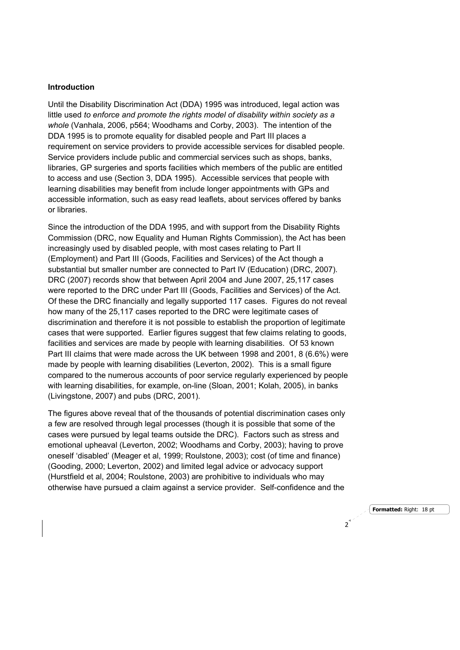#### **Introduction**

Until the Disability Discrimination Act (DDA) 1995 was introduced, legal action was little used *to enforce and promote the rights model of disability within society as a whole* (Vanhala, 2006, p564; Woodhams and Corby, 2003). The intention of the DDA 1995 is to promote equality for disabled people and Part III places a requirement on service providers to provide accessible services for disabled people. Service providers include public and commercial services such as shops, banks, libraries, GP surgeries and sports facilities which members of the public are entitled to access and use (Section 3, DDA 1995). Accessible services that people with learning disabilities may benefit from include longer appointments with GPs and accessible information, such as easy read leaflets, about services offered by banks or libraries.

Since the introduction of the DDA 1995, and with support from the Disability Rights Commission (DRC, now Equality and Human Rights Commission), the Act has been increasingly used by disabled people, with most cases relating to Part II (Employment) and Part III (Goods, Facilities and Services) of the Act though a substantial but smaller number are connected to Part IV (Education) (DRC, 2007). DRC (2007) records show that between April 2004 and June 2007, 25,117 cases were reported to the DRC under Part III (Goods, Facilities and Services) of the Act. Of these the DRC financially and legally supported 117 cases. Figures do not reveal how many of the 25,117 cases reported to the DRC were legitimate cases of discrimination and therefore it is not possible to establish the proportion of legitimate cases that were supported. Earlier figures suggest that few claims relating to goods, facilities and services are made by people with learning disabilities. Of 53 known Part III claims that were made across the UK between 1998 and 2001, 8 (6.6%) were made by people with learning disabilities (Leverton, 2002). This is a small figure compared to the numerous accounts of poor service regularly experienced by people with learning disabilities, for example, on-line (Sloan, 2001; Kolah, 2005), in banks (Livingstone, 2007) and pubs (DRC, 2001).

The figures above reveal that of the thousands of potential discrimination cases only a few are resolved through legal processes (though it is possible that some of the cases were pursued by legal teams outside the DRC). Factors such as stress and emotional upheaval (Leverton, 2002; Woodhams and Corby, 2003); having to prove oneself 'disabled' (Meager et al, 1999; Roulstone, 2003); cost (of time and finance) (Gooding, 2000; Leverton, 2002) and limited legal advice or advocacy support (Hurstfield et al, 2004; Roulstone, 2003) are prohibitive to individuals who may otherwise have pursued a claim against a service provider. Self-confidence and the

**Formatted:** Right: 18 pt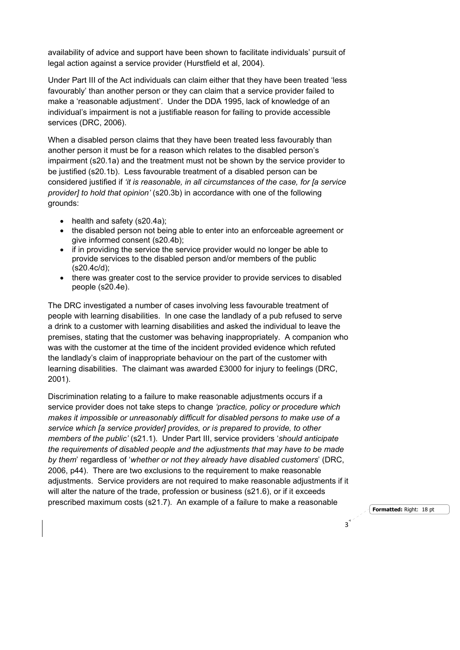availability of advice and support have been shown to facilitate individuals' pursuit of legal action against a service provider (Hurstfield et al, 2004).

Under Part III of the Act individuals can claim either that they have been treated 'less favourably' than another person or they can claim that a service provider failed to make a 'reasonable adjustment'. Under the DDA 1995, lack of knowledge of an individual's impairment is not a justifiable reason for failing to provide accessible services (DRC, 2006).

When a disabled person claims that they have been treated less favourably than another person it must be for a reason which relates to the disabled person's impairment (s20.1a) and the treatment must not be shown by the service provider to be justified (s20.1b). Less favourable treatment of a disabled person can be considered justified if *'it is reasonable, in all circumstances of the case, for [a service provider] to hold that opinion'* (s20.3b) in accordance with one of the following grounds:

- health and safety (s20.4a);
- the disabled person not being able to enter into an enforceable agreement or give informed consent (s20.4b);
- if in providing the service the service provider would no longer be able to provide services to the disabled person and/or members of the public (s20.4c/d);
- there was greater cost to the service provider to provide services to disabled people (s20.4e).

The DRC investigated a number of cases involving less favourable treatment of people with learning disabilities. In one case the landlady of a pub refused to serve a drink to a customer with learning disabilities and asked the individual to leave the premises, stating that the customer was behaving inappropriately. A companion who was with the customer at the time of the incident provided evidence which refuted the landlady's claim of inappropriate behaviour on the part of the customer with learning disabilities. The claimant was awarded £3000 for injury to feelings (DRC, 2001).

Discrimination relating to a failure to make reasonable adjustments occurs if a service provider does not take steps to change *'practice, policy or procedure which makes it impossible or unreasonably difficult for disabled persons to make use of a service which [a service provider] provides, or is prepared to provide, to other members of the public'* (s21.1). Under Part III, service providers '*should anticipate the requirements of disabled people and the adjustments that may have to be made by them*' regardless of '*whether or not they already have disabled customers*' (DRC, 2006, p44). There are two exclusions to the requirement to make reasonable adjustments. Service providers are not required to make reasonable adjustments if it will alter the nature of the trade, profession or business (s21.6), or if it exceeds prescribed maximum costs (s21.7). An example of a failure to make a reasonable

**Formatted:** Right: 18 pt

 $3^4$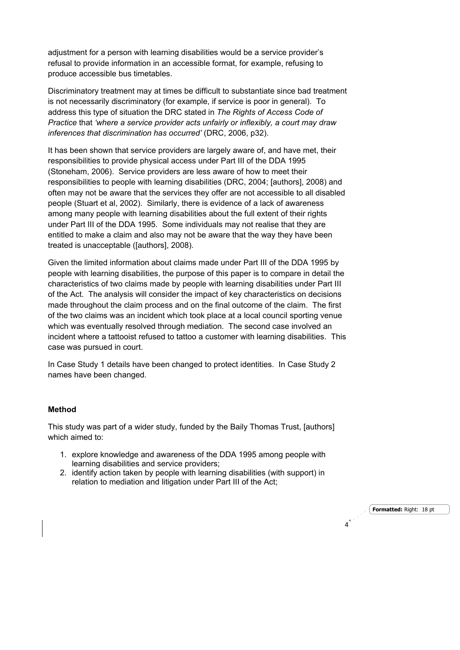adjustment for a person with learning disabilities would be a service provider's refusal to provide information in an accessible format, for example, refusing to produce accessible bus timetables.

Discriminatory treatment may at times be difficult to substantiate since bad treatment is not necessarily discriminatory (for example, if service is poor in general). To address this type of situation the DRC stated in *The Rights of Access Code of Practice* that *'where a service provider acts unfairly or inflexibly, a court may draw inferences that discrimination has occurred'* (DRC, 2006, p32).

It has been shown that service providers are largely aware of, and have met, their responsibilities to provide physical access under Part III of the DDA 1995 (Stoneham, 2006). Service providers are less aware of how to meet their responsibilities to people with learning disabilities (DRC, 2004; [authors], 2008) and often may not be aware that the services they offer are not accessible to all disabled people (Stuart et al, 2002). Similarly, there is evidence of a lack of awareness among many people with learning disabilities about the full extent of their rights under Part III of the DDA 1995. Some individuals may not realise that they are entitled to make a claim and also may not be aware that the way they have been treated is unacceptable ([authors], 2008).

Given the limited information about claims made under Part III of the DDA 1995 by people with learning disabilities, the purpose of this paper is to compare in detail the characteristics of two claims made by people with learning disabilities under Part III of the Act. The analysis will consider the impact of key characteristics on decisions made throughout the claim process and on the final outcome of the claim. The first of the two claims was an incident which took place at a local council sporting venue which was eventually resolved through mediation. The second case involved an incident where a tattooist refused to tattoo a customer with learning disabilities. This case was pursued in court.

In Case Study 1 details have been changed to protect identities. In Case Study 2 names have been changed.

## **Method**

This study was part of a wider study, funded by the Baily Thomas Trust, [authors] which aimed to:

- 1. explore knowledge and awareness of the DDA 1995 among people with learning disabilities and service providers;
- 2. identify action taken by people with learning disabilities (with support) in relation to mediation and litigation under Part III of the Act;

 $4^4$ 

**Formatted:** Right: 18 pt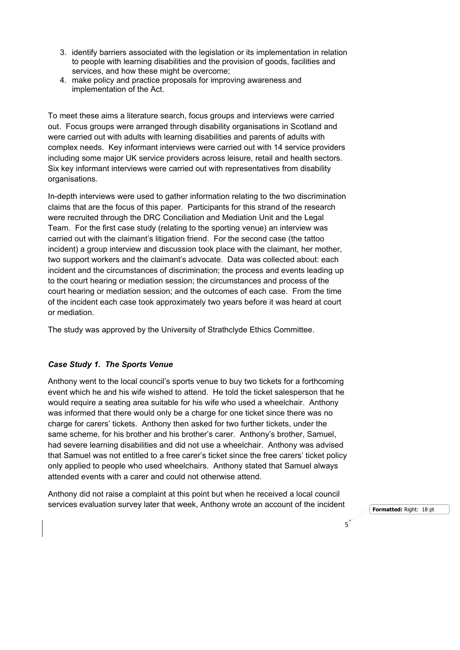- 3. identify barriers associated with the legislation or its implementation in relation to people with learning disabilities and the provision of goods, facilities and services, and how these might be overcome;
- 4. make policy and practice proposals for improving awareness and implementation of the Act.

To meet these aims a literature search, focus groups and interviews were carried out. Focus groups were arranged through disability organisations in Scotland and were carried out with adults with learning disabilities and parents of adults with complex needs. Key informant interviews were carried out with 14 service providers including some major UK service providers across leisure, retail and health sectors. Six key informant interviews were carried out with representatives from disability organisations.

In-depth interviews were used to gather information relating to the two discrimination claims that are the focus of this paper. Participants for this strand of the research were recruited through the DRC Conciliation and Mediation Unit and the Legal Team. For the first case study (relating to the sporting venue) an interview was carried out with the claimant's litigation friend. For the second case (the tattoo incident) a group interview and discussion took place with the claimant, her mother, two support workers and the claimant's advocate. Data was collected about: each incident and the circumstances of discrimination; the process and events leading up to the court hearing or mediation session; the circumstances and process of the court hearing or mediation session; and the outcomes of each case. From the time of the incident each case took approximately two years before it was heard at court or mediation.

The study was approved by the University of Strathclyde Ethics Committee.

## *Case Study 1. The Sports Venue*

Anthony went to the local council's sports venue to buy two tickets for a forthcoming event which he and his wife wished to attend. He told the ticket salesperson that he would require a seating area suitable for his wife who used a wheelchair. Anthony was informed that there would only be a charge for one ticket since there was no charge for carers' tickets. Anthony then asked for two further tickets, under the same scheme, for his brother and his brother's carer. Anthony's brother, Samuel, had severe learning disabilities and did not use a wheelchair. Anthony was advised that Samuel was not entitled to a free carer's ticket since the free carers' ticket policy only applied to people who used wheelchairs. Anthony stated that Samuel always attended events with a carer and could not otherwise attend.

Anthony did not raise a complaint at this point but when he received a local council services evaluation survey later that week, Anthony wrote an account of the incident

**Formatted:** Right: 18 pt

 $\overline{\mathbf{5}}^*$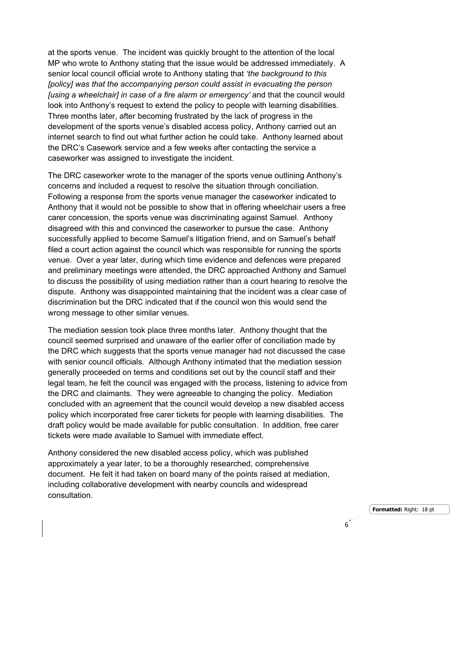at the sports venue. The incident was quickly brought to the attention of the local MP who wrote to Anthony stating that the issue would be addressed immediately. A senior local council official wrote to Anthony stating that *'the background to this [policy] was that the accompanying person could assist in evacuating the person [using a wheelchair] in case of a fire alarm or emergency'* and that the council would look into Anthony's request to extend the policy to people with learning disabilities. Three months later, after becoming frustrated by the lack of progress in the development of the sports venue's disabled access policy, Anthony carried out an internet search to find out what further action he could take. Anthony learned about the DRC's Casework service and a few weeks after contacting the service a caseworker was assigned to investigate the incident.

The DRC caseworker wrote to the manager of the sports venue outlining Anthony's concerns and included a request to resolve the situation through conciliation. Following a response from the sports venue manager the caseworker indicated to Anthony that it would not be possible to show that in offering wheelchair users a free carer concession, the sports venue was discriminating against Samuel. Anthony disagreed with this and convinced the caseworker to pursue the case. Anthony successfully applied to become Samuel's litigation friend, and on Samuel's behalf filed a court action against the council which was responsible for running the sports venue. Over a year later, during which time evidence and defences were prepared and preliminary meetings were attended, the DRC approached Anthony and Samuel to discuss the possibility of using mediation rather than a court hearing to resolve the dispute. Anthony was disappointed maintaining that the incident was a clear case of discrimination but the DRC indicated that if the council won this would send the wrong message to other similar venues.

The mediation session took place three months later. Anthony thought that the council seemed surprised and unaware of the earlier offer of conciliation made by the DRC which suggests that the sports venue manager had not discussed the case with senior council officials. Although Anthony intimated that the mediation session generally proceeded on terms and conditions set out by the council staff and their legal team, he felt the council was engaged with the process, listening to advice from the DRC and claimants. They were agreeable to changing the policy. Mediation concluded with an agreement that the council would develop a new disabled access policy which incorporated free carer tickets for people with learning disabilities. The draft policy would be made available for public consultation. In addition, free carer tickets were made available to Samuel with immediate effect.

Anthony considered the new disabled access policy, which was published approximately a year later, to be a thoroughly researched, comprehensive document. He felt it had taken on board many of the points raised at mediation, including collaborative development with nearby councils and widespread consultation.

**Formatted:** Right: 18 pt

 $6<sup>4</sup>$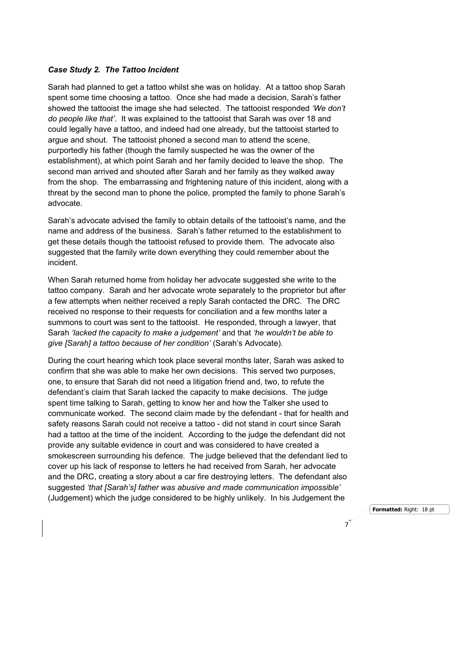### *Case Study 2. The Tattoo Incident*

Sarah had planned to get a tattoo whilst she was on holiday. At a tattoo shop Sarah spent some time choosing a tattoo. Once she had made a decision, Sarah's father showed the tattooist the image she had selected. The tattooist responded *'We don't do people like that'*. It was explained to the tattooist that Sarah was over 18 and could legally have a tattoo, and indeed had one already, but the tattooist started to argue and shout. The tattooist phoned a second man to attend the scene, purportedly his father (though the family suspected he was the owner of the establishment), at which point Sarah and her family decided to leave the shop. The second man arrived and shouted after Sarah and her family as they walked away from the shop. The embarrassing and frightening nature of this incident, along with a threat by the second man to phone the police, prompted the family to phone Sarah's advocate.

Sarah's advocate advised the family to obtain details of the tattooist's name, and the name and address of the business. Sarah's father returned to the establishment to get these details though the tattooist refused to provide them. The advocate also suggested that the family write down everything they could remember about the incident.

When Sarah returned home from holiday her advocate suggested she write to the tattoo company. Sarah and her advocate wrote separately to the proprietor but after a few attempts when neither received a reply Sarah contacted the DRC. The DRC received no response to their requests for conciliation and a few months later a summons to court was sent to the tattooist. He responded, through a lawyer, that Sarah *'lacked the capacity to make a judgement'* and that *'he wouldn't be able to give [Sarah] a tattoo because of her condition'* (Sarah's Advocate).

During the court hearing which took place several months later, Sarah was asked to confirm that she was able to make her own decisions. This served two purposes, one, to ensure that Sarah did not need a litigation friend and, two, to refute the defendant's claim that Sarah lacked the capacity to make decisions. The judge spent time talking to Sarah, getting to know her and how the Talker she used to communicate worked. The second claim made by the defendant - that for health and safety reasons Sarah could not receive a tattoo - did not stand in court since Sarah had a tattoo at the time of the incident. According to the judge the defendant did not provide any suitable evidence in court and was considered to have created a smokescreen surrounding his defence. The judge believed that the defendant lied to cover up his lack of response to letters he had received from Sarah, her advocate and the DRC, creating a story about a car fire destroying letters. The defendant also suggested *'that [Sarah's] father was abusive and made communication impossible'* (Judgement) which the judge considered to be highly unlikely. In his Judgement the

**Formatted:** Right: 18 pt

 $7<sup>4</sup>$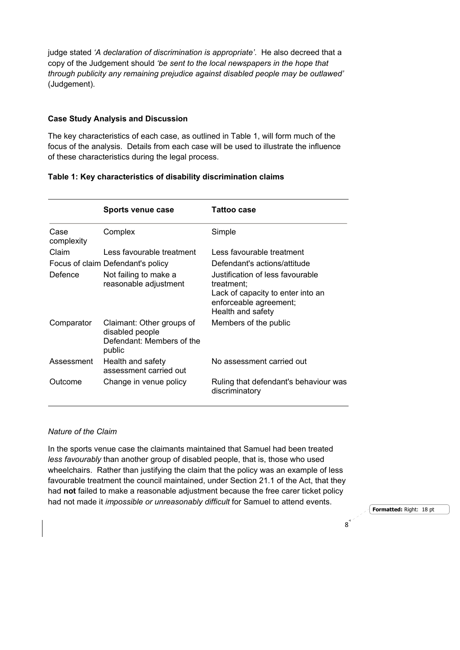judge stated *'A declaration of discrimination is appropriate'*. He also decreed that a copy of the Judgement should *'be sent to the local newspapers in the hope that through publicity any remaining prejudice against disabled people may be outlawed'* (Judgement).

## **Case Study Analysis and Discussion**

The key characteristics of each case, as outlined in Table 1, will form much of the focus of the analysis. Details from each case will be used to illustrate the influence of these characteristics during the legal process.

|  | Table 1: Key characteristics of disability discrimination claims |
|--|------------------------------------------------------------------|
|--|------------------------------------------------------------------|

|                    | Sports venue case                                                                   | Tattoo case                                                                                                                        |
|--------------------|-------------------------------------------------------------------------------------|------------------------------------------------------------------------------------------------------------------------------------|
| Case<br>complexity | Complex                                                                             | Simple                                                                                                                             |
| Claim              | Less favourable treatment                                                           | Less favourable treatment                                                                                                          |
|                    | Focus of claim Defendant's policy                                                   | Defendant's actions/attitude                                                                                                       |
| Defence            | Not failing to make a<br>reasonable adjustment                                      | Justification of less favourable<br>treatment:<br>Lack of capacity to enter into an<br>enforceable agreement;<br>Health and safety |
| Comparator         | Claimant: Other groups of<br>disabled people<br>Defendant: Members of the<br>public | Members of the public                                                                                                              |
| Assessment         | Health and safety<br>assessment carried out                                         | No assessment carried out                                                                                                          |
| Outcome            | Change in venue policy                                                              | Ruling that defendant's behaviour was<br>discriminatory                                                                            |

## *Nature of the Claim*

In the sports venue case the claimants maintained that Samuel had been treated *less favourably* than another group of disabled people, that is, those who used wheelchairs. Rather than justifying the claim that the policy was an example of less favourable treatment the council maintained, under Section 21.1 of the Act, that they had **not** failed to make a reasonable adjustment because the free carer ticket policy had not made it *impossible or unreasonably difficult* for Samuel to attend events.

**Formatted:** Right: 18 pt

 $\mathbf{g}^*$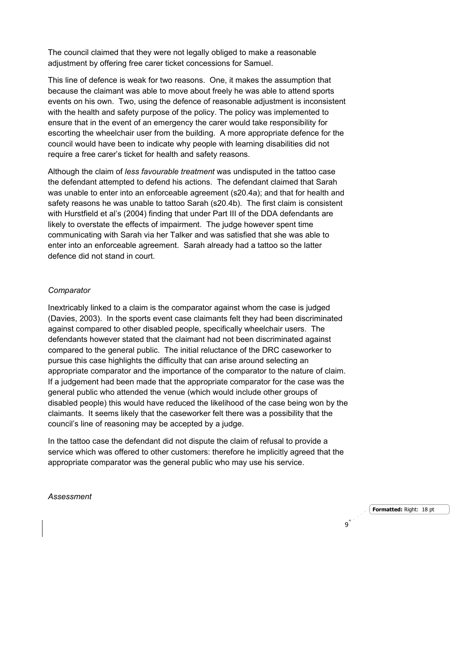The council claimed that they were not legally obliged to make a reasonable adjustment by offering free carer ticket concessions for Samuel.

This line of defence is weak for two reasons. One, it makes the assumption that because the claimant was able to move about freely he was able to attend sports events on his own. Two, using the defence of reasonable adjustment is inconsistent with the health and safety purpose of the policy. The policy was implemented to ensure that in the event of an emergency the carer would take responsibility for escorting the wheelchair user from the building. A more appropriate defence for the council would have been to indicate why people with learning disabilities did not require a free carer's ticket for health and safety reasons.

Although the claim of *less favourable treatment* was undisputed in the tattoo case the defendant attempted to defend his actions. The defendant claimed that Sarah was unable to enter into an enforceable agreement (s20.4a); and that for health and safety reasons he was unable to tattoo Sarah (s20.4b). The first claim is consistent with Hurstfield et al's (2004) finding that under Part III of the DDA defendants are likely to overstate the effects of impairment. The judge however spent time communicating with Sarah via her Talker and was satisfied that she was able to enter into an enforceable agreement. Sarah already had a tattoo so the latter defence did not stand in court.

## *Comparator*

Inextricably linked to a claim is the comparator against whom the case is judged (Davies, 2003). In the sports event case claimants felt they had been discriminated against compared to other disabled people, specifically wheelchair users. The defendants however stated that the claimant had not been discriminated against compared to the general public. The initial reluctance of the DRC caseworker to pursue this case highlights the difficulty that can arise around selecting an appropriate comparator and the importance of the comparator to the nature of claim. If a judgement had been made that the appropriate comparator for the case was the general public who attended the venue (which would include other groups of disabled people) this would have reduced the likelihood of the case being won by the claimants. It seems likely that the caseworker felt there was a possibility that the council's line of reasoning may be accepted by a judge.

In the tattoo case the defendant did not dispute the claim of refusal to provide a service which was offered to other customers: therefore he implicitly agreed that the appropriate comparator was the general public who may use his service.

*Assessment* 

**Formatted:** Right: 18 pt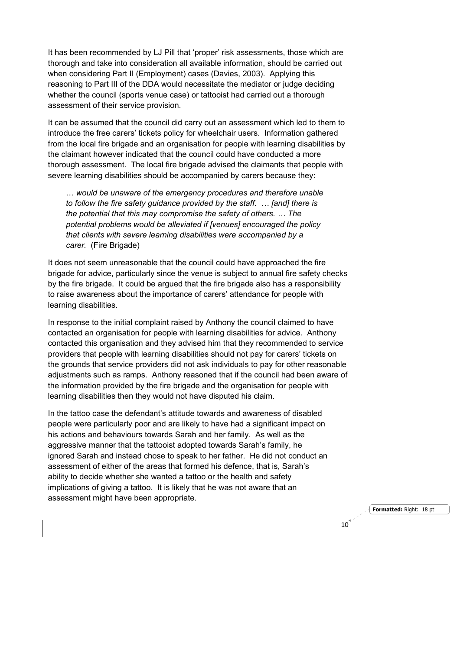It has been recommended by LJ Pill that 'proper' risk assessments, those which are thorough and take into consideration all available information, should be carried out when considering Part II (Employment) cases (Davies, 2003). Applying this reasoning to Part III of the DDA would necessitate the mediator or judge deciding whether the council (sports venue case) or tattooist had carried out a thorough assessment of their service provision.

It can be assumed that the council did carry out an assessment which led to them to introduce the free carers' tickets policy for wheelchair users. Information gathered from the local fire brigade and an organisation for people with learning disabilities by the claimant however indicated that the council could have conducted a more thorough assessment. The local fire brigade advised the claimants that people with severe learning disabilities should be accompanied by carers because they:

… *would be unaware of the emergency procedures and therefore unable to follow the fire safety guidance provided by the staff. … [and] there is the potential that this may compromise the safety of others. … The potential problems would be alleviated if [venues] encouraged the policy that clients with severe learning disabilities were accompanied by a carer.* (Fire Brigade)

It does not seem unreasonable that the council could have approached the fire brigade for advice, particularly since the venue is subject to annual fire safety checks by the fire brigade. It could be argued that the fire brigade also has a responsibility to raise awareness about the importance of carers' attendance for people with learning disabilities.

In response to the initial complaint raised by Anthony the council claimed to have contacted an organisation for people with learning disabilities for advice. Anthony contacted this organisation and they advised him that they recommended to service providers that people with learning disabilities should not pay for carers' tickets on the grounds that service providers did not ask individuals to pay for other reasonable adjustments such as ramps. Anthony reasoned that if the council had been aware of the information provided by the fire brigade and the organisation for people with learning disabilities then they would not have disputed his claim.

In the tattoo case the defendant's attitude towards and awareness of disabled people were particularly poor and are likely to have had a significant impact on his actions and behaviours towards Sarah and her family. As well as the aggressive manner that the tattooist adopted towards Sarah's family, he ignored Sarah and instead chose to speak to her father. He did not conduct an assessment of either of the areas that formed his defence, that is, Sarah's ability to decide whether she wanted a tattoo or the health and safety implications of giving a tattoo. It is likely that he was not aware that an assessment might have been appropriate.

**Formatted:** Right: 18 pt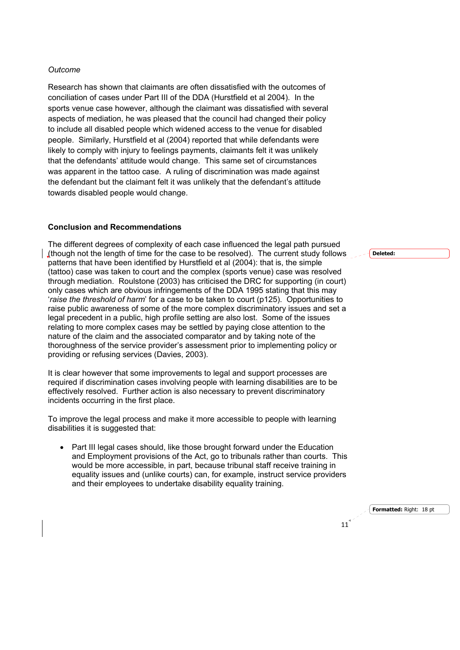## *Outcome*

Research has shown that claimants are often dissatisfied with the outcomes of conciliation of cases under Part III of the DDA (Hurstfield et al 2004). In the sports venue case however, although the claimant was dissatisfied with several aspects of mediation, he was pleased that the council had changed their policy to include all disabled people which widened access to the venue for disabled people. Similarly, Hurstfield et al (2004) reported that while defendants were likely to comply with injury to feelings payments, claimants felt it was unlikely that the defendants' attitude would change. This same set of circumstances was apparent in the tattoo case. A ruling of discrimination was made against the defendant but the claimant felt it was unlikely that the defendant's attitude towards disabled people would change.

### **Conclusion and Recommendations**

The different degrees of complexity of each case influenced the legal path pursued (though not the length of time for the case to be resolved). The current study follows patterns that have been identified by Hurstfield et al (2004): that is, the simple (tattoo) case was taken to court and the complex (sports venue) case was resolved through mediation. Roulstone (2003) has criticised the DRC for supporting (in court) only cases which are obvious infringements of the DDA 1995 stating that this may '*raise the threshold of harm*' for a case to be taken to court (p125). Opportunities to raise public awareness of some of the more complex discriminatory issues and set a legal precedent in a public, high profile setting are also lost. Some of the issues relating to more complex cases may be settled by paying close attention to the nature of the claim and the associated comparator and by taking note of the thoroughness of the service provider's assessment prior to implementing policy or providing or refusing services (Davies, 2003).

It is clear however that some improvements to legal and support processes are required if discrimination cases involving people with learning disabilities are to be effectively resolved. Further action is also necessary to prevent discriminatory incidents occurring in the first place.

To improve the legal process and make it more accessible to people with learning disabilities it is suggested that:

• Part III legal cases should, like those brought forward under the Education and Employment provisions of the Act, go to tribunals rather than courts. This would be more accessible, in part, because tribunal staff receive training in equality issues and (unlike courts) can, for example, instruct service providers and their employees to undertake disability equality training.

**Deleted:** 

**Formatted:** Right: 18 pt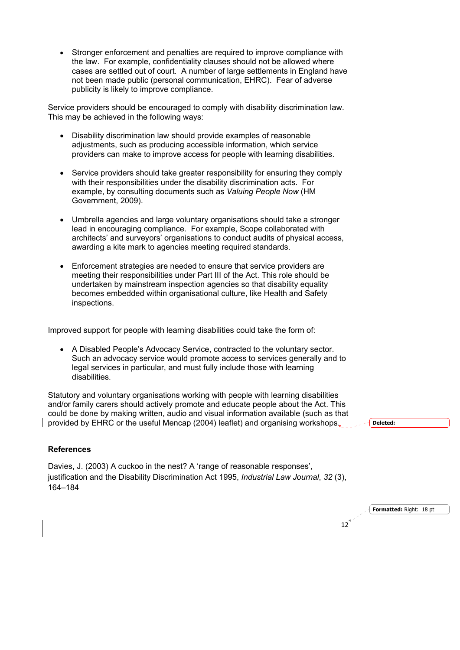• Stronger enforcement and penalties are required to improve compliance with the law. For example, confidentiality clauses should not be allowed where cases are settled out of court. A number of large settlements in England have not been made public (personal communication, EHRC). Fear of adverse publicity is likely to improve compliance.

Service providers should be encouraged to comply with disability discrimination law. This may be achieved in the following ways:

- Disability discrimination law should provide examples of reasonable adjustments, such as producing accessible information, which service providers can make to improve access for people with learning disabilities.
- Service providers should take greater responsibility for ensuring they comply with their responsibilities under the disability discrimination acts. For example, by consulting documents such as *Valuing People Now* (HM Government, 2009).
- Umbrella agencies and large voluntary organisations should take a stronger lead in encouraging compliance. For example, Scope collaborated with architects' and surveyors' organisations to conduct audits of physical access, awarding a kite mark to agencies meeting required standards.
- Enforcement strategies are needed to ensure that service providers are meeting their responsibilities under Part III of the Act. This role should be undertaken by mainstream inspection agencies so that disability equality becomes embedded within organisational culture, like Health and Safety inspections.

Improved support for people with learning disabilities could take the form of:

• A Disabled People's Advocacy Service, contracted to the voluntary sector. Such an advocacy service would promote access to services generally and to legal services in particular, and must fully include those with learning disabilities.

Statutory and voluntary organisations working with people with learning disabilities and/or family carers should actively promote and educate people about the Act. This could be done by making written, audio and visual information available (such as that provided by EHRC or the useful Mencap (2004) leaflet) and organising workshops.

# **References**

Davies, J. (2003) A cuckoo in the nest? A 'range of reasonable responses', justification and the Disability Discrimination Act 1995, *Industrial Law Journal*, *32* (3), 164–184

**Deleted:** 

**Formatted:** Right: 18 pt

 $12<sup>4</sup>$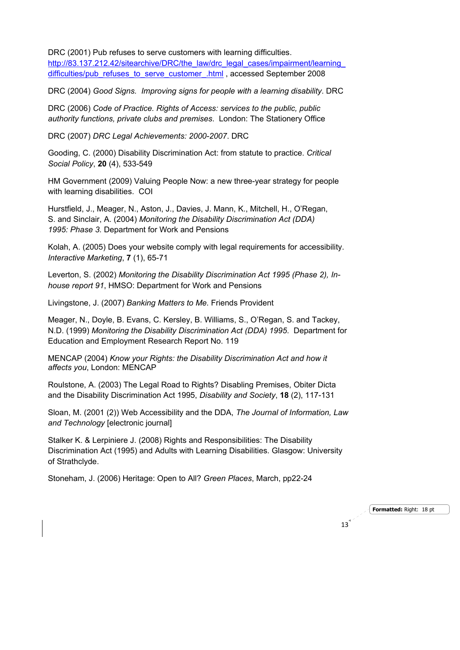DRC (2001) Pub refuses to serve customers with learning difficulties. http://83.137.212.42/sitearchive/DRC/the\_law/drc\_legal\_cases/impairment/learning [difficulties/pub\\_refuses\\_to\\_serve\\_customer\\_.html](http://mc.manuscriptcentral.com/LongRequest/bld?TAG_ACTION=DOWNLOAD_FILE_BY_NAME&DOCUMENT_ID=5897526&FILE_TO_DOWNLOAD=http://83.137.212.42/sitearchive/DRC/the_law/drc_legal_cases/impairment/learning_difficulties/pub_refuses_to_serve_customer_.html-withlinks.htm&FILE_KEY=196121983&FILE_NAME_KEY=26548277&DOWNLOAD=TRUE&FILE_TYPE=DOCUMENT&DOCUMENT_HASHCODE=529420427&SANITY_CHECK_DOCUMENT_ID=5897526) , accessed September 2008

DRC (2004) *Good Signs. Improving signs for people with a learning disability*. DRC

DRC (2006) Code of Practice. Rights of Access: services to the public, public *authority functions, private clubs and premises*. London: The Stationery Office

DRC (2007) *DRC Legal Achievements: 2000-2007*. DRC

Gooding, C. (2000) Disability Discrimination Act: from statute to practice. *Critical Social Policy*, **20** (4), 533-549

HM Government (2009) Valuing People Now: a new three-year strategy for people with learning disabilities. COI

Hurstfield, J., Meager, N., Aston, J., Davies, J. Mann, K., Mitchell, H., O'Regan, S. and Sinclair, A. (2004) *Monitoring the Disability Discrimination Act (DDA) 1995: Phase 3.* Department for Work and Pensions

Kolah, A. (2005) Does your website comply with legal requirements for accessibility. *Interactive Marketing*, **7** (1), 65-71

Leverton, S. (2002) *Monitoring the Disability Discrimination Act 1995 (Phase 2), Inhouse report 91*, HMSO: Department for Work and Pensions

Livingstone, J. (2007) *Banking Matters to Me*. Friends Provident

Meager, N., Doyle, B. Evans, C. Kersley, B. Williams, S., O'Regan, S. and Tackey, N.D. (1999) *Monitoring the Disability Discrimination Act (DDA) 1995*. Department for Education and Employment Research Report No. 119

MENCAP (2004) *Know your Rights: the Disability Discrimination Act and how it affects you*, London: MENCAP

Roulstone, A. (2003) The Legal Road to Rights? Disabling Premises, Obiter Dicta and the Disability Discrimination Act 1995, *Disability and Society*, **18** (2), 117-131

Sloan, M. (2001 (2)) Web Accessibility and the DDA, *The Journal of Information, Law and Technology* [electronic journal]

Stalker K. & Lerpiniere J. (2008) Rights and Responsibilities: The Disability Discrimination Act (1995) and Adults with Learning Disabilities. Glasgow: University of Strathclyde.

Stoneham, J. (2006) Heritage: Open to All? *Green Places*, March, pp22-24

**Formatted:** Right: 18 pt

 $13^{^4}\,$